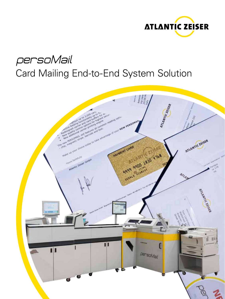

# persoMail Card Mailing End-to-End System Solution

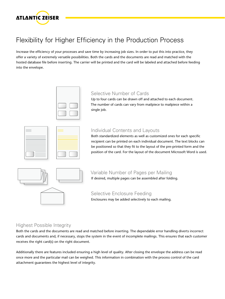

# Flexibility for Higher Efficiency in the Production Process

Increase the efficiency of your processes and save time by increasing job sizes. In order to put this into practice, they offer a variety of extremely versatile possibilities. Both the cards and the documents are read and matched with the hosted database file before inserting. The carrier will be printed and the card will be labeled and attached before feeding into the envelope.



#### Selective Number of Cards

Up to four cards can be drawn off and attached to each document. The number of cards can vary from mailpiece to mailpiece within a single job.

| <b>STATISTICS</b><br><b>STATISTICS</b><br><b>STATISTICS</b>                                                                                                                                                                                                                                                                                                                                                                                                                                                                                                                                                                                                                                                                                                                        | <u> The Common Section of the Common Section of</u> |
|------------------------------------------------------------------------------------------------------------------------------------------------------------------------------------------------------------------------------------------------------------------------------------------------------------------------------------------------------------------------------------------------------------------------------------------------------------------------------------------------------------------------------------------------------------------------------------------------------------------------------------------------------------------------------------------------------------------------------------------------------------------------------------|-----------------------------------------------------|
| the control of the control of the control of the control of the control of the control of the control of the control of the control of the control of the control of the control of the control of the control of the control                                                                                                                                                                                                                                                                                                                                                                                                                                                                                                                                                      |                                                     |
| the control of the control of the control of the control of the control of the control of the control of the control of the control of the control of the control of the control of the control of the control of the control<br>the control of the control of the control of the control of the control of the control of the control of the control of the control of the control of the control of the control of the control of the control of the control<br>the contract of the contract of the contract of the contract of the contract of<br>the control of the control of the control of the control of the control of the control of the control of the control of the control of the control of the control of the control of the control of the control of the control |                                                     |
| and the control of the control of the<br>and the control of the control of the<br>________                                                                                                                                                                                                                                                                                                                                                                                                                                                                                                                                                                                                                                                                                         |                                                     |
|                                                                                                                                                                                                                                                                                                                                                                                                                                                                                                                                                                                                                                                                                                                                                                                    |                                                     |

#### Individual Contents and Layouts

Both standardized elements as well as customized ones for each specific recipient can be printed on each individual document. The text blocks can be positioned so that they fit to the layout of the pre-printed form and the position of the card. For the layout of the document Microsoft Word is used.

## Variable Number of Pages per Mailing

If desired, multiple pages can be assembled after folding.

Selective Enclosure Feeding Enclosures may be added selectively to each mailing.

#### Highest Possible Integrity

Both the cards and the documents are read and matched before inserting. The dependable error handling diverts incorrect cards and documents and, if necessary, stops the system in the event of incomplete mailings. This ensures that each customer receives the right card(s) on the right document.

Additionally there are features included ensuring a high level of quality. After closing the envelope the address can be read once more and the particular mail can be weighed. This information in combination with the process control of the card attachment guarantees the highest level of integrity.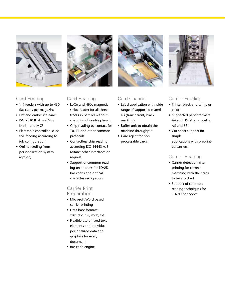

#### Card Feeding

- 1-4 feeders with up to 430 flat cards per magazine
- Flat and embossed cards
- ISO 7810 ID-1 and Visa Mini and MC<sup>2</sup>
- Electronic controlled selective feeding according to job configuration
- Online feeding from personalization system (option)



#### Card Reading

- LoCo and HiCo magnetic stripe reader for all three tracks in parallel without changing of reading heads
- Chip reading by contact for T0, T1 and other common protocols
- Contactless chip reading according ISO 14443 A/B, Mifare; other interfaces on request
- Support of common reading techniques for 1D/2D bar codes and optical character recognition

#### Carrier Print

#### Preparation

- Microsoft Word based carrier printing
- Data base formats: xlsx, dbf, csv, mdb, txt
- Flexible use of fixed text elements and individual personalized data and graphics for every document
- Bar code engine



#### Card Channel

- Label application with wide range of supported materials (transparent, black marking)
- Buffer unit to obtain the machine throughput
- Card reject for non processable cards



#### Carrier Feeding

- Printer black-and-white or color
- Supported paper formats: A4 and US letter as well as A5 and B5
- Cut sheet support for simple applications with preprinted carriers

#### Carrier Reading

- Carrier detection after printing for correct matching with the cards to be attached
- Support of common reading techniques for 1D/2D bar codes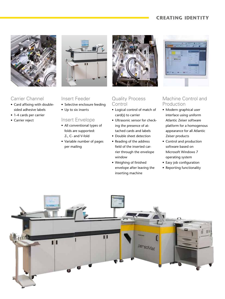#### **CREATING IDENTITY**



#### Carrier Channel

- Card affixing with doublesided adhesive labels
- 1-4 cards per carrier
- Carrier reject



#### Insert Feeder

- Selective enclosure feeding
- Up to six inserts

#### Insert Envelope

- All conventional types of folds are supported: Z-, C- and V-fold
- Variable number of pages per mailing



#### Quality Process Control

- Logical control of match of card(s) to carrier
- Ultrasonic sensor for checking the presence of attached cards and labels
- Double sheet detection
- Reading of the address field of the inserted carrier through the envelope window
- Weighing of finished envelope after leaving the inserting machine



#### Machine Control and Production

- Modern graphical user interface using uniform Atlantic Zeiser software platform for a homogenous appearance for all Atlantic Zeiser products
- Control and production software based on Microsoft Windows 7 operating system
- Easy job configuration
- Reporting functionality

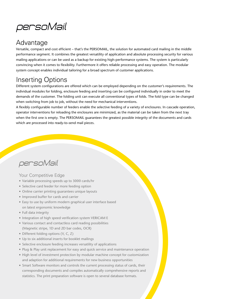

## Advantage

Versatile, compact and cost efficient – that's the PERSOMAIL, the solution for automated card mailing in the middle performance segment. It combines the greatest versatility of application and absolute processing security for various mailing applications or can be used as a backup for existing high-performance systems. The system is particularly convincing when it comes to flexibility. Furthermore it offers reliable processing and easy operation. The modular system concept enables individual tailoring for a broad spectrum of customer applications.

# Inserting Options

Different system configurations are offered which can be employed depending on the customer's requirements. The individual modules for folding, enclosure feeding and inserting can be configured individually in order to meet the demands of the customer. The folding unit can execute all conventional types of folds. The fold type can be changed when switching from job to job, without the need for mechanical interventions.

A flexibly configurable number of feeders enable the selective feeding of a variety of enclosures. In cascade operation, operator interventions for reloading the enclosures are minimized, as the material can be taken from the next tray when the first one is empty. The PERSOMAIL guarantees the greatest possible integrity of the documents and cards which are processed into ready-to-send mail pieces.

# persoMail

#### Your Competitive Edge

- Variable processing speeds up to 3000 cards/hr
- Selective card feeder for more feeding option
- Online carrier printing guarantees unique layouts
- Improved buffer for cards and carrier
- Easy to use by uniform modern graphical user interface based on latest ergonomic knowledge
- Full data integrity
- Integration of high speed verification system VERICAM E
- Various contact and contactless card reading possibilities (Magnetic stripe, 1D and 2D bar codes, OCR)
- Different folding options (V, C, Z)
- Up to six additional inserts for booklet mailings
- Selective enclosure feeding increases versatility of applications
- Plug & Play unit replacement for easy and quick service and maintenance operation
- High level of investment protection by modular machine concept for customization and adaption for additional requirements for new business opportunities
- Smart Software monitors and controls the current processing status of cards, their corresponding documents and compiles automatically comprehensive reports and statistics. The print preparation software is open to several database formats.